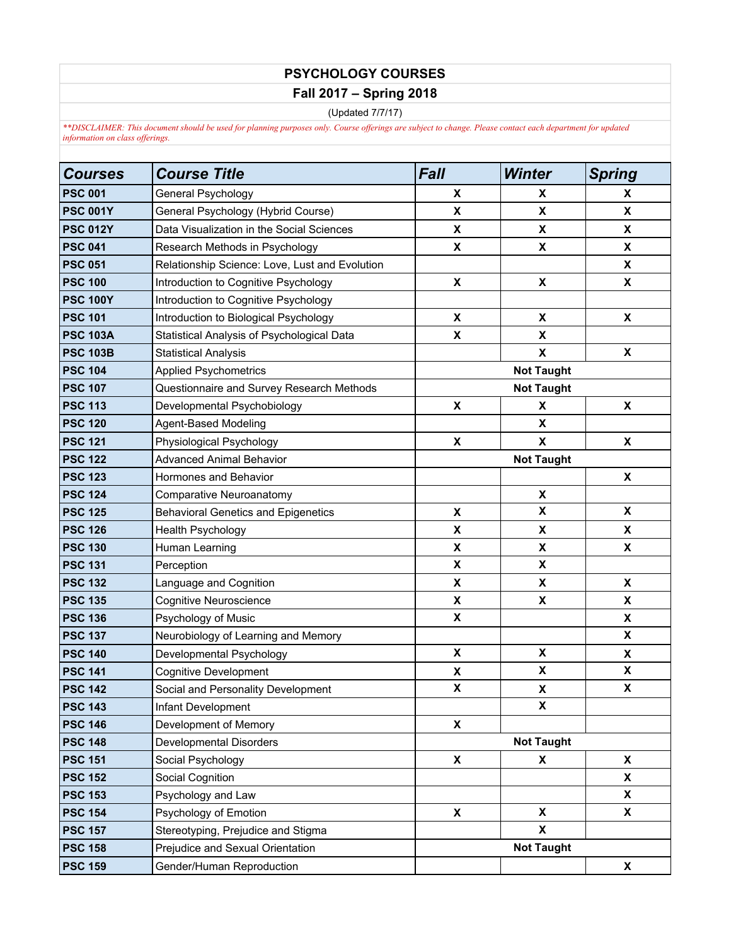## **PSYCHOLOGY COURSES Fall 2017 – Spring 2018**

(Updated 7/7/17)

*\*\*DISCLAIMER: This document should be used for planning purposes only. Course offerings are subject to change. Please contact each department for updated information on class offerings.*

| Courses         | <b>Course Title</b>                            | <b>Fall</b>        | <b>Winter</b>      | <b>Spring</b>      |  |
|-----------------|------------------------------------------------|--------------------|--------------------|--------------------|--|
| <b>PSC 001</b>  | General Psychology                             | X                  | X                  | X                  |  |
| <b>PSC 001Y</b> | General Psychology (Hybrid Course)             | X                  | X                  | X                  |  |
| <b>PSC 012Y</b> | Data Visualization in the Social Sciences      | X                  | X                  | X                  |  |
| <b>PSC 041</b>  | Research Methods in Psychology                 | X                  | X                  | X                  |  |
| <b>PSC 051</b>  | Relationship Science: Love, Lust and Evolution |                    |                    | X                  |  |
| <b>PSC 100</b>  | Introduction to Cognitive Psychology           | X                  | X                  | X                  |  |
| <b>PSC 100Y</b> | Introduction to Cognitive Psychology           |                    |                    |                    |  |
| <b>PSC 101</b>  | Introduction to Biological Psychology          | X                  | X                  | X                  |  |
| <b>PSC 103A</b> | Statistical Analysis of Psychological Data     | X                  | X                  |                    |  |
| <b>PSC 103B</b> | <b>Statistical Analysis</b>                    |                    | $\pmb{\mathsf{X}}$ | X                  |  |
| <b>PSC 104</b>  | <b>Applied Psychometrics</b>                   | <b>Not Taught</b>  |                    |                    |  |
| <b>PSC 107</b>  | Questionnaire and Survey Research Methods      | <b>Not Taught</b>  |                    |                    |  |
| <b>PSC 113</b>  | Developmental Psychobiology                    | X                  | X                  | X                  |  |
| <b>PSC 120</b>  | Agent-Based Modeling                           |                    | X                  |                    |  |
| <b>PSC 121</b>  | Physiological Psychology                       | X                  | X                  | X                  |  |
| <b>PSC 122</b>  | <b>Advanced Animal Behavior</b>                | <b>Not Taught</b>  |                    |                    |  |
| <b>PSC 123</b>  | Hormones and Behavior                          |                    |                    | X                  |  |
| <b>PSC 124</b>  | Comparative Neuroanatomy                       |                    | X                  |                    |  |
| <b>PSC 125</b>  | <b>Behavioral Genetics and Epigenetics</b>     | X                  | X                  | X                  |  |
| <b>PSC 126</b>  | Health Psychology                              | X                  | X                  | X                  |  |
| <b>PSC 130</b>  | Human Learning                                 | X                  | X                  | X                  |  |
| <b>PSC 131</b>  | Perception                                     | X                  | X                  |                    |  |
| <b>PSC 132</b>  | Language and Cognition                         | X                  | X                  | X                  |  |
| <b>PSC 135</b>  | <b>Cognitive Neuroscience</b>                  | X                  | X                  | X                  |  |
| <b>PSC 136</b>  | Psychology of Music                            | X                  |                    | X                  |  |
| <b>PSC 137</b>  | Neurobiology of Learning and Memory            |                    |                    | X                  |  |
| <b>PSC 140</b>  | Developmental Psychology                       | X                  | X                  | $\pmb{\mathsf{X}}$ |  |
| <b>PSC 141</b>  | <b>Cognitive Development</b>                   | X                  | X                  | $\pmb{\mathsf{X}}$ |  |
| <b>PSC 142</b>  | Social and Personality Development             | $\pmb{\mathsf{X}}$ | X                  | X                  |  |
| <b>PSC 143</b>  | Infant Development                             |                    | X                  |                    |  |
| <b>PSC 146</b>  | Development of Memory                          | X                  |                    |                    |  |
| <b>PSC 148</b>  | <b>Developmental Disorders</b>                 | <b>Not Taught</b>  |                    |                    |  |
| <b>PSC 151</b>  | Social Psychology                              | X                  | X                  | X                  |  |
| <b>PSC 152</b>  | Social Cognition                               |                    |                    | X                  |  |
| <b>PSC 153</b>  | Psychology and Law                             |                    |                    | X                  |  |
| <b>PSC 154</b>  | Psychology of Emotion                          | X                  | X                  | X                  |  |
| <b>PSC 157</b>  | Stereotyping, Prejudice and Stigma             |                    | X                  |                    |  |
| <b>PSC 158</b>  | Prejudice and Sexual Orientation               |                    | <b>Not Taught</b>  |                    |  |
| <b>PSC 159</b>  | Gender/Human Reproduction                      |                    |                    | X                  |  |